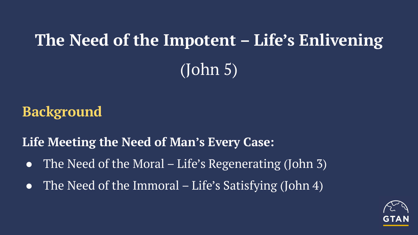# **The Need of the Impotent – Life's Enlivening** (John 5)

### **Background**

**Life Meeting the Need of Man's Every Case:**

- The Need of the Moral Life's Regenerating (John 3)
- The Need of the Immoral Life's Satisfying (John 4)

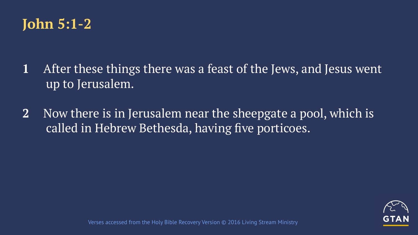

- **1** After these things there was a feast of the Jews, and Jesus went up to Jerusalem.
- **2** Now there is in Jerusalem near the sheepgate a pool, which is called in Hebrew Bethesda, having five porticoes.

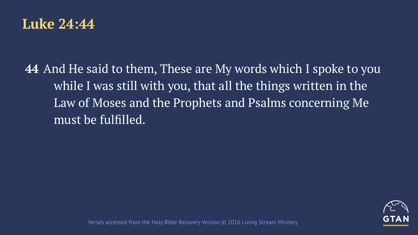

**44** And He said to them, These are My words which I spoke to you while I was still with you, that all the things written in the Law of Moses and the Prophets and Psalms concerning Me must be fulfilled.

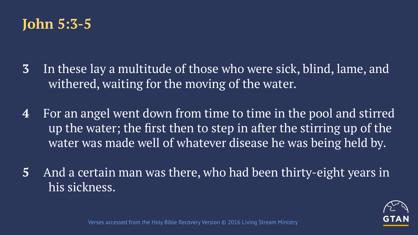## **John 5:3-5**

- **3** In these lay a multitude of those who were sick, blind, lame, and withered, waiting for the moving of the water.
- **4** For an angel went down from time to time in the pool and stirred up the water; the first then to step in after the stirring up of the water was made well of whatever disease he was being held by.
- **5** And a certain man was there, who had been thirty-eight years in his sickness.

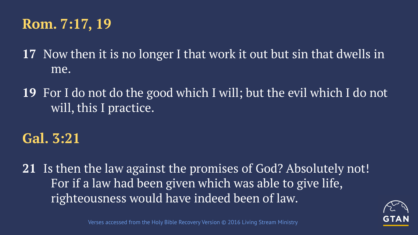## **Rom. 7:17, 19**

**17** Now then it is no longer I that work it out but sin that dwells in me.

**19** For I do not do the good which I will; but the evil which I do not will, this I practice.

#### **Gal. 3:21**

**21** Is then the law against the promises of God? Absolutely not! For if a law had been given which was able to give life, righteousness would have indeed been of law.

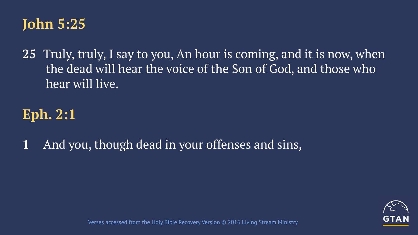

**25** Truly, truly, I say to you, An hour is coming, and it is now, when the dead will hear the voice of the Son of God, and those who hear will live.

## **Eph. 2:1**

**1** And you, though dead in your offenses and sins,

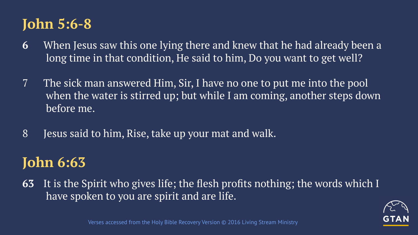# **John 5:6-8**

- **6** When Jesus saw this one lying there and knew that he had already been a long time in that condition, He said to him, Do you want to get well?
- 7 The sick man answered Him, Sir, I have no one to put me into the pool when the water is stirred up; but while I am coming, another steps down before me.
- 8 Jesus said to him, Rise, take up your mat and walk.

# **John 6:63**

**63** It is the Spirit who gives life; the flesh profits nothing; the words which I have spoken to you are spirit and are life.

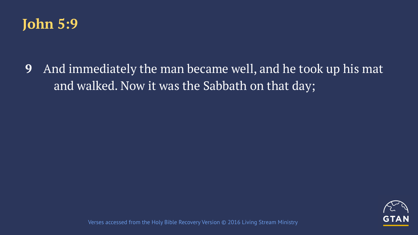

**9** And immediately the man became well, and he took up his mat and walked. Now it was the Sabbath on that day;

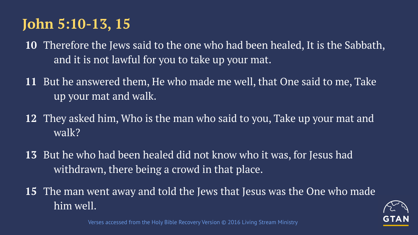# **John 5:10-13, 15**

- **10** Therefore the Jews said to the one who had been healed, It is the Sabbath, and it is not lawful for you to take up your mat.
- **11** But he answered them, He who made me well, that One said to me, Take up your mat and walk.
- **12** They asked him, Who is the man who said to you, Take up your mat and walk?
- **13** But he who had been healed did not know who it was, for Jesus had withdrawn, there being a crowd in that place.
- **15** The man went away and told the Jews that Jesus was the One who made him well.

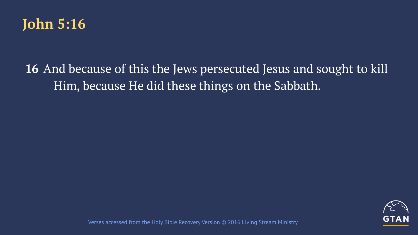

## **16** And because of this the Jews persecuted Jesus and sought to kill Him, because He did these things on the Sabbath.